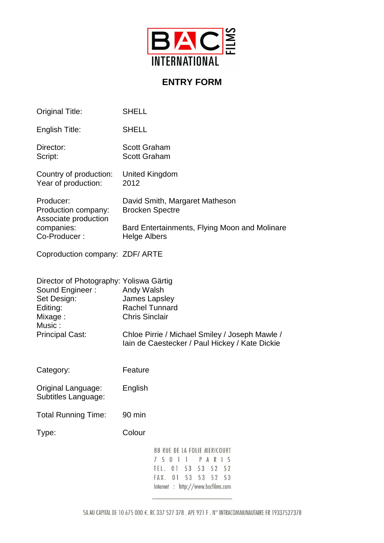

## **ENTRY FORM**

| Original Title:                                                                                                                      | <b>SHELL</b>                                                                                                                                                                      |                                                                                                                                                                    |
|--------------------------------------------------------------------------------------------------------------------------------------|-----------------------------------------------------------------------------------------------------------------------------------------------------------------------------------|--------------------------------------------------------------------------------------------------------------------------------------------------------------------|
| English Title:                                                                                                                       | <b>SHELL</b>                                                                                                                                                                      |                                                                                                                                                                    |
| Director:<br>Script:                                                                                                                 | <b>Scott Graham</b><br><b>Scott Graham</b>                                                                                                                                        |                                                                                                                                                                    |
| Country of production:<br>Year of production:                                                                                        | United Kingdom<br>2012                                                                                                                                                            |                                                                                                                                                                    |
| Producer:<br>Production company:<br>Associate production<br>companies:<br>Co-Producer:                                               | <b>Brocken Spectre</b>                                                                                                                                                            | David Smith, Margaret Matheson                                                                                                                                     |
|                                                                                                                                      | Bard Entertainments, Flying Moon and Molinare<br><b>Helge Albers</b>                                                                                                              |                                                                                                                                                                    |
| Coproduction company: ZDF/ ARTE                                                                                                      |                                                                                                                                                                                   |                                                                                                                                                                    |
| Director of Photography: Yoliswa Gärtig<br>Sound Engineer:<br>Set Design:<br>Editing:<br>Mixage:<br>Music:<br><b>Principal Cast:</b> | Andy Walsh<br>James Lapsley<br><b>Rachel Tunnard</b><br><b>Chris Sinclair</b><br>Chloe Pirrie / Michael Smiley / Joseph Mawle /<br>lain de Caestecker / Paul Hickey / Kate Dickie |                                                                                                                                                                    |
| Category:                                                                                                                            | Feature                                                                                                                                                                           |                                                                                                                                                                    |
| Original Language:<br>Subtitles Language:                                                                                            | English                                                                                                                                                                           |                                                                                                                                                                    |
| <b>Total Running Time:</b>                                                                                                           | 90 min                                                                                                                                                                            |                                                                                                                                                                    |
| Type:                                                                                                                                | Colour                                                                                                                                                                            |                                                                                                                                                                    |
|                                                                                                                                      |                                                                                                                                                                                   | 88 RUE DE LA FOLIE MERICOURT<br>5 0 1<br>$\overline{1}$<br>PARIS<br>7<br>TEL. 01 53<br>53 52 52<br>01<br>53 53 52 53<br>FAX.<br>Internet : http://www.bacfilms.com |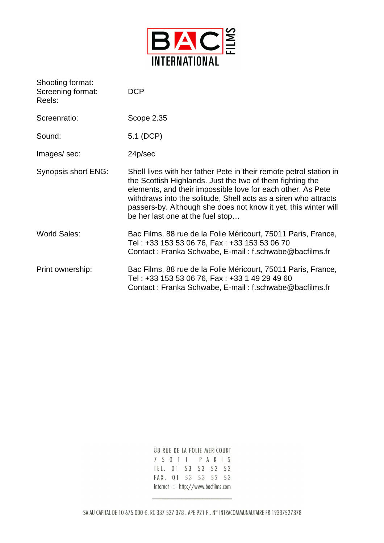

| Shooting format:<br>Screening format:<br>Reels: | <b>DCP</b>                                                                                                                                                                                                                                                                                                                                                               |
|-------------------------------------------------|--------------------------------------------------------------------------------------------------------------------------------------------------------------------------------------------------------------------------------------------------------------------------------------------------------------------------------------------------------------------------|
| Screenratio:                                    | Scope 2.35                                                                                                                                                                                                                                                                                                                                                               |
| Sound:                                          | 5.1 (DCP)                                                                                                                                                                                                                                                                                                                                                                |
| Images/sec:                                     | 24p/sec                                                                                                                                                                                                                                                                                                                                                                  |
| Synopsis short ENG:                             | Shell lives with her father Pete in their remote petrol station in<br>the Scottish Highlands. Just the two of them fighting the<br>elements, and their impossible love for each other. As Pete<br>withdraws into the solitude, Shell acts as a siren who attracts<br>passers-by. Although she does not know it yet, this winter will<br>be her last one at the fuel stop |
| <b>World Sales:</b>                             | Bac Films, 88 rue de la Folie Méricourt, 75011 Paris, France,<br>Tel: +33 153 53 06 76, Fax: +33 153 53 06 70<br>Contact: Franka Schwabe, E-mail: f.schwabe@bacfilms.fr                                                                                                                                                                                                  |
| Print ownership:                                | Bac Films, 88 rue de la Folie Méricourt, 75011 Paris, France,<br>Tel: +33 153 53 06 76, Fax: +33 1 49 29 49 60<br>Contact: Franka Schwabe, E-mail: f.schwabe@bacfilms.fr                                                                                                                                                                                                 |

88 RUE DE LA FOLIE MERICOURT 7 5 0 1 1 P A R I S TEL. 01 53 53 52 52 FAX. 01 53 53 52 53 Internet : http://www.bacfilms.com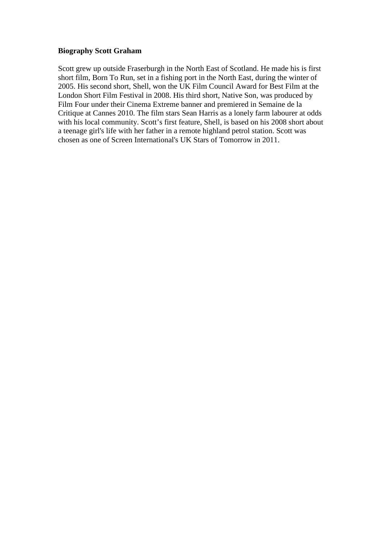## **Biography Scott Graham**

Scott grew up outside Fraserburgh in the North East of Scotland. He made his is first short film, Born To Run, set in a fishing port in the North East, during the winter of 2005. His second short, Shell, won the UK Film Council Award for Best Film at the London Short Film Festival in 2008. His third short, Native Son, was produced by Film Four under their Cinema Extreme banner and premiered in Semaine de la Critique at Cannes 2010. The film stars Sean Harris as a lonely farm labourer at odds with his local community. Scott's first feature, Shell, is based on his 2008 short about a teenage girl's life with her father in a remote highland petrol station. Scott was chosen as one of Screen International's UK Stars of Tomorrow in 2011.